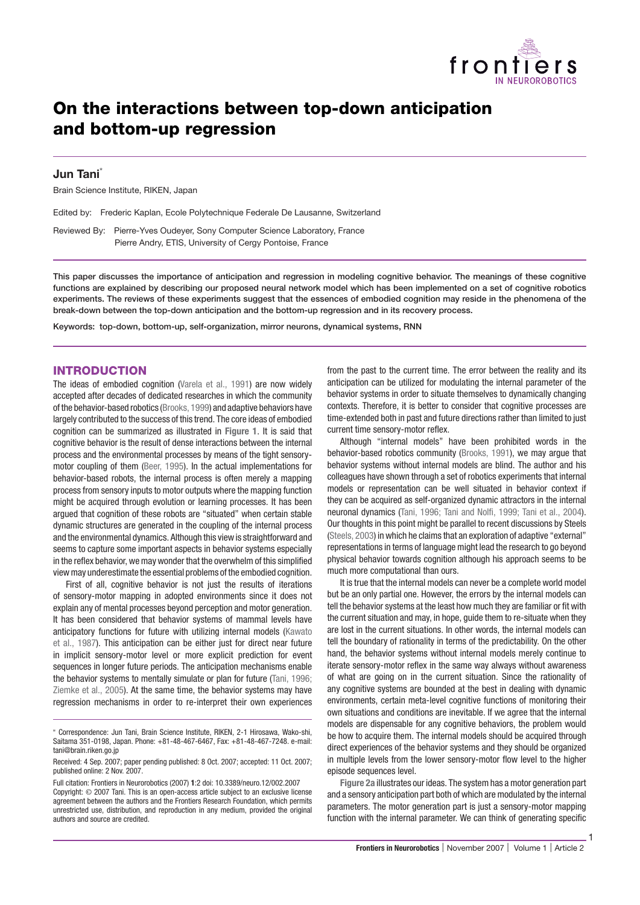

# **On the interactions between top-down anticipation and bottom-up regression**

## **Jun Tani\***

Brain Science Institute, RIKEN, Japan

Edited by: Frederic Kaplan, Ecole Polytechnique Federale De Lausanne, Switzerland

Reviewed By: Pierre-Yves Oudeyer, Sony Computer Science Laboratory, France Pierre Andry, ETIS, University of Cergy Pontoise, France

**This paper discusses the importance of anticipation and regression in modeling cognitive behavior. The meanings of these cognitive functions are explained by describing our proposed neural network model which has been implemented on a set of cognitive robotics experiments. The reviews of these experiments suggest that the essences of embodied cognition may reside in the phenomena of the break-down between the top-down anticipation and the bottom-up regression and in its recovery process.**

**Keywords: top-down, bottom-up, self-organization, mirror neurons, dynamical systems, RNN**

## **INTRODUCTION**

The ideas of embodied cognition (Varela et al., 1991) are now widely accepted after decades of dedicated researches in which the community of the behavior-basedrobotics (Brooks, 1999) and adaptive behaviors have largely contributed to the success of this trend. The core ideas of embodied cognition can be summarized as illustrated in **Figure 1**. It is said that cognitive behavior is the result of dense interactions between the internal process and the environmental processes by means of the tight sensorymotor coupling of them (Beer, 1995). In the actual implementations for behavior-based robots, the internal process is often merely a mapping process from sensory inputs to motor outputs where the mapping function might be acquired through evolution or learning processes. It has been argued that cognition of these robots are "situated" when certain stable dynamic structures are generated in the coupling of the internal process and the environmental dynamics. Although this view is straightforward and seems to capture some important aspects in behavior systems especially in the reflex behavior, we may wonder that the overwhelm of this simplified view may underestimate the essential problems of the embodied cognition.

First of all, cognitive behavior is not just the results of iterations of sensory-motor mapping in adopted environments since it does not explain any of mental processes beyond perception and motor generation. It has been considered that behavior systems of mammal levels have anticipatory functions for future with utilizing internal models (Kawato et al., 1987). This anticipation can be either just for direct near future in implicit sensory-motor level or more explicit prediction for event sequences in longer future periods. The anticipation mechanisms enable the behavior systems to mentally simulate or plan for future (Tani, 1996; Ziemke et al., 2005). At the same time, the behavior systems may have regression mechanisms in order to re-interpret their own experiences

∗ Correspondence: Jun Tani, Brain Science Institute, RIKEN, 2-1 Hirosawa, Wako-shi, Saitama 351-0198, Japan. Phone: +81-48-467-6467, Fax: +81-48-467-7248. e-mail: tani@brain.riken.go.jp

Received: 4 Sep. 2007; paper pending published: 8 Oct. 2007; accepted: 11 Oct. 2007; published online: 2 Nov. 2007.

Full citation: Frontiers in Neurorobotics (2007) **1**:2 doi: 10.3389/neuro.12/002.2007 Copyright: © 2007 Tani. This is an open-access article subject to an exclusive license agreement between the authors and the Frontiers Research Foundation, which permits unrestricted use, distribution, and reproduction in any medium, provided the original authors and source are credited.

from the past to the current time. The error between the reality and its anticipation can be utilized for modulating the internal parameter of the behavior systems in order to situate themselves to dynamically changing contexts. Therefore, it is better to consider that cognitive processes are time-extended both in past and future directions rather than limited to just current time sensory-motor reflex.

Although "internal models" have been prohibited words in the behavior-based robotics community (Brooks, 1991), we may argue that behavior systems without internal models are blind. The author and his colleagues have shown through a set of robotics experiments that internal models or representation can be well situated in behavior context if they can be acquired as self-organized dynamic attractors in the internal neuronal dynamics (Tani, 1996; Tani and Nolfi, 1999; Tani et al., 2004). Our thoughts in this point might be parallel to recent discussions by Steels (Steels, 2003) in which he claims that an exploration of adaptive "external" representations in terms of language might lead the research to go beyond physical behavior towards cognition although his approach seems to be much more computational than ours.

It is true that the internal models can never be a complete world model but be an only partial one. However, the errors by the internal models can tell the behavior systems at the least how much they are familiar or fit with the current situation and may, in hope, guide them to re-situate when they are lost in the current situations. In other words, the internal models can tell the boundary of rationality in terms of the predictability. On the other hand, the behavior systems without internal models merely continue to iterate sensory-motor reflex in the same way always without awareness of what are going on in the current situation. Since the rationality of any cognitive systems are bounded at the best in dealing with dynamic environments, certain meta-level cognitive functions of monitoring their own situations and conditions are inevitable. If we agree that the internal models are dispensable for any cognitive behaviors, the problem would be how to acquire them. The internal models should be acquired through direct experiences of the behavior systems and they should be organized in multiple levels from the lower sensory-motor flow level to the higher episode sequences level.

**Figure 2a** illustrates our ideas. The system has a motor generation part and a sensory anticipation part both of which are modulated by the internal parameters. The motor generation part is just a sensory-motor mapping function with the internal parameter. We can think of generating specific

1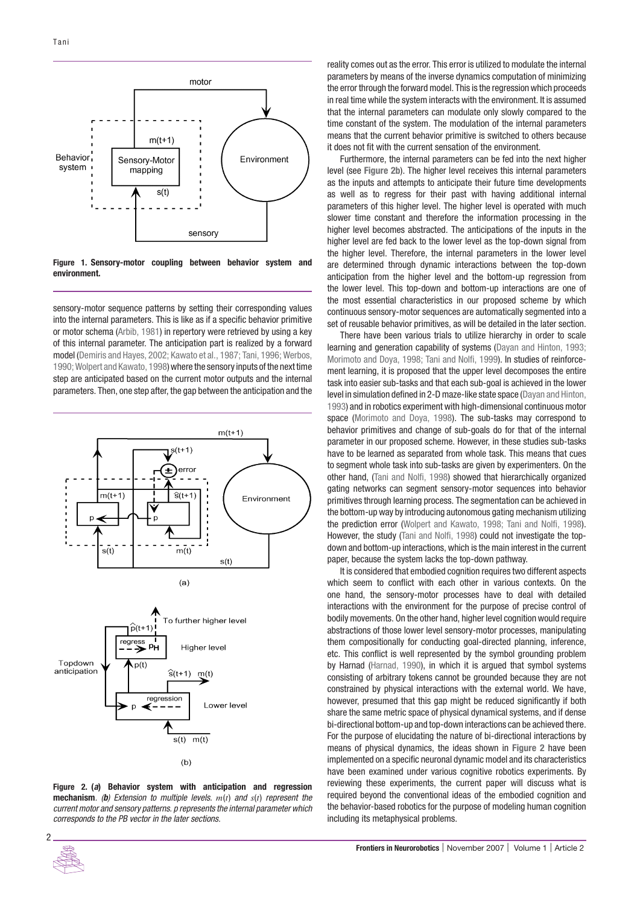

**Figure 1. Sensory-motor coupling between behavior system and environment.**

sensory-motor sequence patterns by setting their corresponding values into the internal parameters. This is like as if a specific behavior primitive or motor schema (Arbib, 1981) in repertory were retrieved by using a key of this internal parameter. The anticipation part is realized by a forward model (Demiris and Hayes, 2002; Kawato et al., 1987; Tani, 1996; Werbos, 1990; Wolpert and Kawato, 1998) where the sensory inputs of the next time step are anticipated based on the current motor outputs and the internal parameters. Then, one step after, the gap between the anticipation and the



**Figure 2. (***a***) Behavior system with anticipation and regression mechanism**. (*b*) Extension to multiple levels. *m*(*t*) and *s*(*t*) represent the current motor and sensory patterns. p represents the internal parameter which corresponds to the PB vector in the later sections.



Furthermore, the internal parameters can be fed into the next higher level (see **Figure 2b**). The higher level receives this internal parameters as the inputs and attempts to anticipate their future time developments as well as to regress for their past with having additional internal parameters of this higher level. The higher level is operated with much slower time constant and therefore the information processing in the higher level becomes abstracted. The anticipations of the inputs in the higher level are fed back to the lower level as the top-down signal from the higher level. Therefore, the internal parameters in the lower level are determined through dynamic interactions between the top-down anticipation from the higher level and the bottom-up regression from the lower level. This top-down and bottom-up interactions are one of the most essential characteristics in our proposed scheme by which continuous sensory-motor sequences are automatically segmented into a set of reusable behavior primitives, as will be detailed in the later section.

There have been various trials to utilize hierarchy in order to scale learning and generation capability of systems (Dayan and Hinton, 1993; Morimoto and Doya, 1998; Tani and Nolfi, 1999). In studies of reinforcement learning, it is proposed that the upper level decomposes the entire task into easier sub-tasks and that each sub-goal is achieved in the lower level in simulation defined in 2-D maze-like state space (Dayan and Hinton, 1993) and in robotics experiment with high-dimensional continuous motor space (Morimoto and Doya, 1998). The sub-tasks may correspond to behavior primitives and change of sub-goals do for that of the internal parameter in our proposed scheme. However, in these studies sub-tasks have to be learned as separated from whole task. This means that cues to segment whole task into sub-tasks are given by experimenters. On the other hand, (Tani and Nolfi, 1998) showed that hierarchically organized gating networks can segment sensory-motor sequences into behavior primitives through learning process. The segmentation can be achieved in the bottom-up way by introducing autonomous gating mechanism utilizing the prediction error (Wolpert and Kawato, 1998; Tani and Nolfi, 1998). However, the study (Tani and Nolfi, 1998) could not investigate the topdown and bottom-up interactions, which is the main interest in the current paper, because the system lacks the top-down pathway.

It is considered that embodied cognition requires two different aspects which seem to conflict with each other in various contexts. On the one hand, the sensory-motor processes have to deal with detailed interactions with the environment for the purpose of precise control of bodily movements. On the other hand, higher level cognition would require abstractions of those lower level sensory-motor processes, manipulating them compositionally for conducting goal-directed planning, inference, etc. This conflict is well represented by the symbol grounding problem by Harnad (Harnad, 1990), in which it is argued that symbol systems consisting of arbitrary tokens cannot be grounded because they are not constrained by physical interactions with the external world. We have, however, presumed that this gap might be reduced significantly if both share the same metric space of physical dynamical systems, and if dense bi-directional bottom-up and top-down interactions can be achieved there. For the purpose of elucidating the nature of bi-directional interactions by means of physical dynamics, the ideas shown in **Figure 2** have been implemented on a specific neuronal dynamic model and its characteristics have been examined under various cognitive robotics experiments. By reviewing these experiments, the current paper will discuss what is required beyond the conventional ideas of the embodied cognition and the behavior-based robotics for the purpose of modeling human cognition including its metaphysical problems.

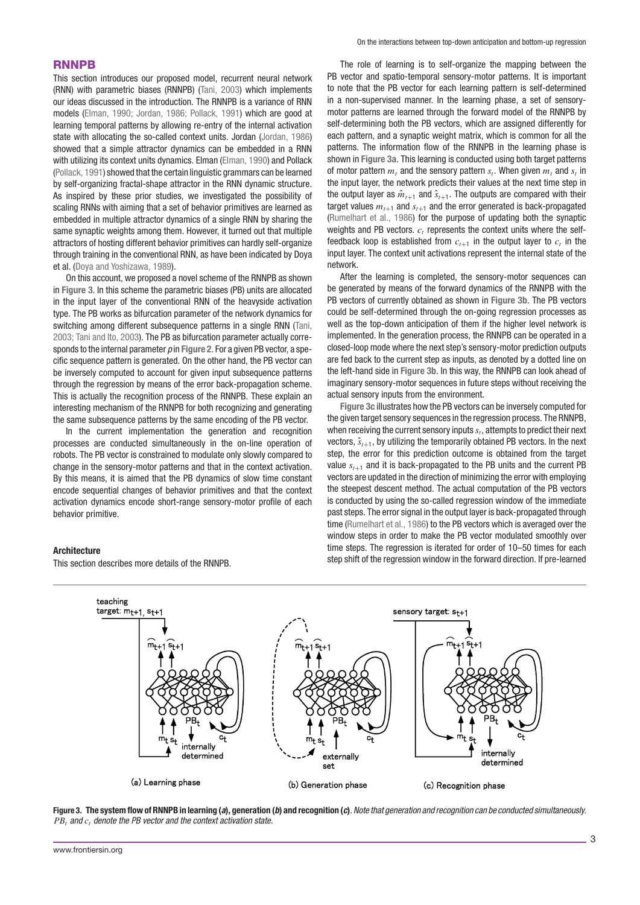## **RNNPB**

This section introduces our proposed model, recurrent neural network (RNN) with parametric biases (RNNPB) (Tani, 2003) which implements our ideas discussed in the introduction. The RNNPB is a variance of RNN models (Elman, 1990; Jordan, 1986; Pollack, 1991) which are good at learning temporal patterns by allowing re-entry of the internal activation state with allocating the so-called context units. Jordan (Jordan, 1986) showed that a simple attractor dynamics can be embedded in a RNN with utilizing its context units dynamics. Elman (Elman, 1990) and Pollack (Pollack, 1991) showed that the certain linguistic grammars can be learned by self-organizing fractal-shape attractor in the RNN dynamic structure. As inspired by these prior studies, we investigated the possibility of scaling RNNs with aiming that a set of behavior primitives are learned as embedded in multiple attractor dynamics of a single RNN by sharing the same synaptic weights among them. However, it turned out that multiple attractors of hosting different behavior primitives can hardly self-organize through training in the conventional RNN, as have been indicated by Doya et al. (Doya and Yoshizawa, 1989).

On this account, we proposed a novel scheme of the RNNPB as shown in **Figure 3**. In this scheme the parametric biases (PB) units are allocated in the input layer of the conventional RNN of the heavyside activation type. The PB works as bifurcation parameter of the network dynamics for switching among different subsequence patterns in a single RNN (Tani, 2003; Tani and Ito, 2003). The PB as bifurcation parameter actually corresponds to the internal parameter p in **Figure 2**. For a given PB vector, a specific sequence pattern is generated. On the other hand, the PB vector can be inversely computed to account for given input subsequence patterns through the regression by means of the error back-propagation scheme. This is actually the recognition process of the RNNPB. These explain an interesting mechanism of the RNNPB for both recognizing and generating the same subsequence patterns by the same encoding of the PB vector.

In the current implementation the generation and recognition processes are conducted simultaneously in the on-line operation of robots. The PB vector is constrained to modulate only slowly compared to change in the sensory-motor patterns and that in the context activation. By this means, it is aimed that the PB dynamics of slow time constant encode sequential changes of behavior primitives and that the context activation dynamics encode short-range sensory-motor profile of each behavior primitive.

This section describes more details of the RNNPB.

#### On the interactions between top-down anticipation and bottom-up regression

The role of learning is to self-organize the mapping between the PB vector and spatio-temporal sensory-motor patterns. It is important to note that the PB vector for each learning pattern is self-determined in a non-supervised manner. In the learning phase, a set of sensorymotor patterns are learned through the forward model of the RNNPB by self-determining both the PB vectors, which are assigned differently for each pattern, and a synaptic weight matrix, which is common for all the patterns. The information flow of the RNNPB in the learning phase is shown in **Figure 3a**. This learning is conducted using both target patterns of motor pattern  $m_t$  and the sensory pattern  $s_t$ . When given  $m_t$  and  $s_t$  in the input layer, the network predicts their values at the next time step in the output layer as  $\hat{m}_{t+1}$  and  $\hat{s}_{t+1}$ . The outputs are compared with their target values  $m_{t+1}$  and  $s_{t+1}$  and the error generated is back-propagated (Rumelhart et al., 1986) for the purpose of updating both the synaptic weights and PB vectors.  $c_t$  represents the context units where the selffeedback loop is established from  $c_{t+1}$  in the output layer to  $c_t$  in the input layer. The context unit activations represent the internal state of the network.

After the learning is completed, the sensory-motor sequences can be generated by means of the forward dynamics of the RNNPB with the PB vectors of currently obtained as shown in **Figure 3b**. The PB vectors could be self-determined through the on-going regression processes as well as the top-down anticipation of them if the higher level network is implemented. In the generation process, the RNNPB can be operated in a closed-loop mode where the next step's sensory-motor prediction outputs are fed back to the current step as inputs, as denoted by a dotted line on the left-hand side in **Figure 3b**. In this way, the RNNPB can look ahead of imaginary sensory-motor sequences in future steps without receiving the actual sensory inputs from the environment.

**Figure 3c** illustrates how the PB vectors can be inversely computed for the given target sensory sequences in the regression process. The RNNPB, when receiving the current sensory inputs  $s_t$ , attempts to predict their next vectors,  $\hat{s}_{t+1}$ , by utilizing the temporarily obtained PB vectors. In the next step, the error for this prediction outcome is obtained from the target value  $s_{t+1}$  and it is back-propagated to the PB units and the current PB vectors are updated in the direction of minimizing the error with employing the steepest descent method. The actual computation of the PB vectors is conducted by using the so-called regression window of the immediate past steps. The error signal in the output layer is back-propagated through time (Rumelhart et al., 1986) to the PB vectors which is averaged over the window steps in order to make the PB vector modulated smoothly over time steps. The regression is iterated for order of 10–50 times for each step shift of the regression window in the forward direction. If pre-learned





**Architecture**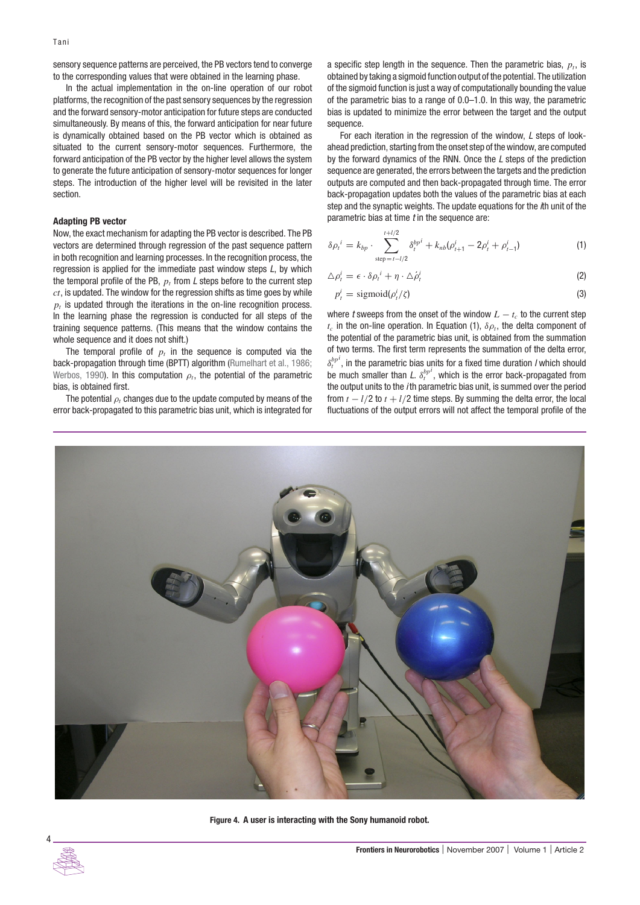sensory sequence patterns are perceived, the PB vectors tend to converge to the corresponding values that were obtained in the learning phase.

In the actual implementation in the on-line operation of our robot platforms, the recognition of the past sensory sequences by the regression and the forward sensory-motor anticipation for future steps are conducted simultaneously. By means of this, the forward anticipation for near future is dynamically obtained based on the PB vector which is obtained as situated to the current sensory-motor sequences. Furthermore, the forward anticipation of the PB vector by the higher level allows the system to generate the future anticipation of sensory-motor sequences for longer steps. The introduction of the higher level will be revisited in the later section.

#### **Adapting PB vector**

Now, the exact mechanism for adapting the PB vector is described. The PB vectors are determined through regression of the past sequence pattern in both recognition and learning processes. In the recognition process, the regression is applied for the immediate past window steps L, by which the temporal profile of the PB,  $p_t$  from L steps before to the current step *ct*, is updated. The window for the regression shifts as time goes by while  $p<sub>t</sub>$  is updated through the iterations in the on-line recognition process. In the learning phase the regression is conducted for all steps of the training sequence patterns. (This means that the window contains the whole sequence and it does not shift.)

The temporal profile of  $p_t$  in the sequence is computed via the back-propagation through time (BPTT) algorithm (Rumelhart et al., 1986; Werbos, 1990). In this computation  $\rho_t$ , the potential of the parametric bias, is obtained first.

The potential *ρt* changes due to the update computed by means of the error back-propagated to this parametric bias unit, which is integrated for a specific step length in the sequence. Then the parametric bias,  $p_t$ , is obtained by taking a sigmoid function output of the potential. The utilization of the sigmoid function is just a way of computationally bounding the value of the parametric bias to a range of 0.0–1.0. In this way, the parametric bias is updated to minimize the error between the target and the output sequence.

For each iteration in the regression of the window, L steps of lookahead prediction, starting from the onset step of the window, are computed by the forward dynamics of the RNN. Once the L steps of the prediction sequence are generated, the errors between the targets and the prediction outputs are computed and then back-propagated through time. The error back-propagation updates both the values of the parametric bias at each step and the synaptic weights. The update equations for the *i*th unit of the parametric bias at time  $t$  in the sequence are:

$$
\delta \rho_t^i = k_{bp} \cdot \sum_{\text{step}=t-l/2}^{t+l/2} \delta_t^{bp^i} + k_{nb} (\rho_{t+1}^i - 2\rho_t^i + \rho_{t-1}^i)
$$
(1)

$$
\Delta \rho_t^i = \epsilon \cdot \delta \rho_t^i + \eta \cdot \Delta \dot{\rho}_t^i \tag{2}
$$

$$
p_t^i = \text{sigmoid}(\rho_t^i/\zeta) \tag{3}
$$

where t sweeps from the onset of the window  $L - t_c$  to the current step  $t_c$  in the on-line operation. In Equation (1),  $\delta \rho_t$ , the delta component of the potential of the parametric bias unit, is obtained from the summation of two terms. The first term represents the summation of the delta error,  $\delta_t^{b p^i}$ , in the parametric bias units for a fixed time duration *I* which should be much smaller than L.  $\delta_t^{b}$ , which is the error back-propagated from the output units to the *i*th parametric bias unit, is summed over the period from  $t - l/2$  to  $t + l/2$  time steps. By summing the delta error, the local fluctuations of the output errors will not affect the temporal profile of the



**Figure 4. A user is interacting with the Sony humanoid robot.**

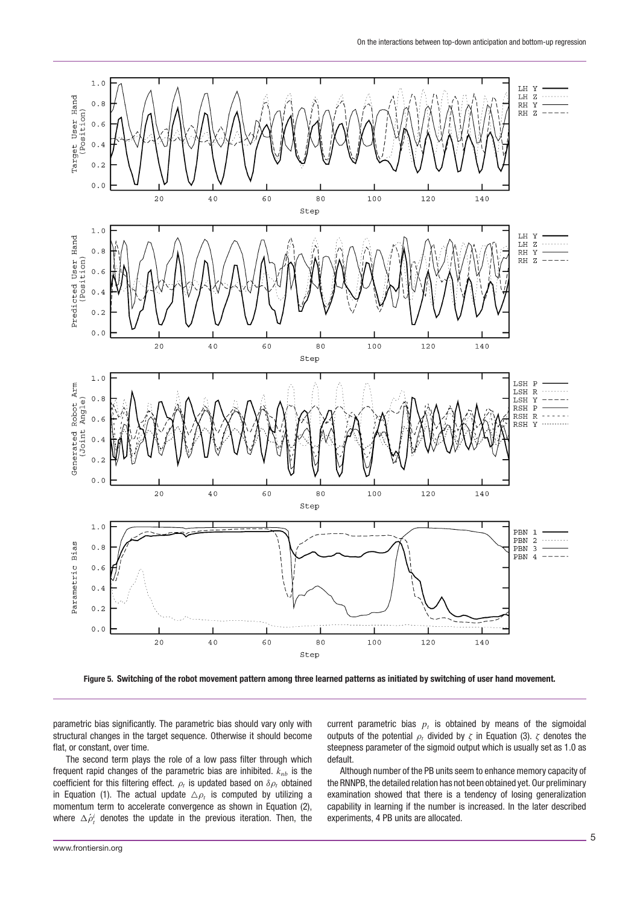

**Figure 5. Switching of the robot movement pattern among three learned patterns as initiated by switching of user hand movement.**

parametric bias significantly. The parametric bias should vary only with structural changes in the target sequence. Otherwise it should become flat, or constant, over time.

The second term plays the role of a low pass filter through which frequent rapid changes of the parametric bias are inhibited.  $k_{nb}$  is the coefficient for this filtering effect.  $\rho_t$  is updated based on  $\delta \rho_t$  obtained in Equation (1). The actual update  $\triangle \rho_t$  is computed by utilizing a momentum term to accelerate convergence as shown in Equation (2), where  $\Delta \dot{\rho}^i_t$  denotes the update in the previous iteration. Then, the

current parametric bias  $p_t$  is obtained by means of the sigmoidal outputs of the potential *ρt* divided by *ζ* in Equation (3). *ζ* denotes the steepness parameter of the sigmoid output which is usually set as 1.0 as default.

Although number of the PB units seem to enhance memory capacity of the RNNPB, the detailed relation has not been obtained yet. Our preliminary examination showed that there is a tendency of losing generalization capability in learning if the number is increased. In the later described experiments, 4 PB units are allocated.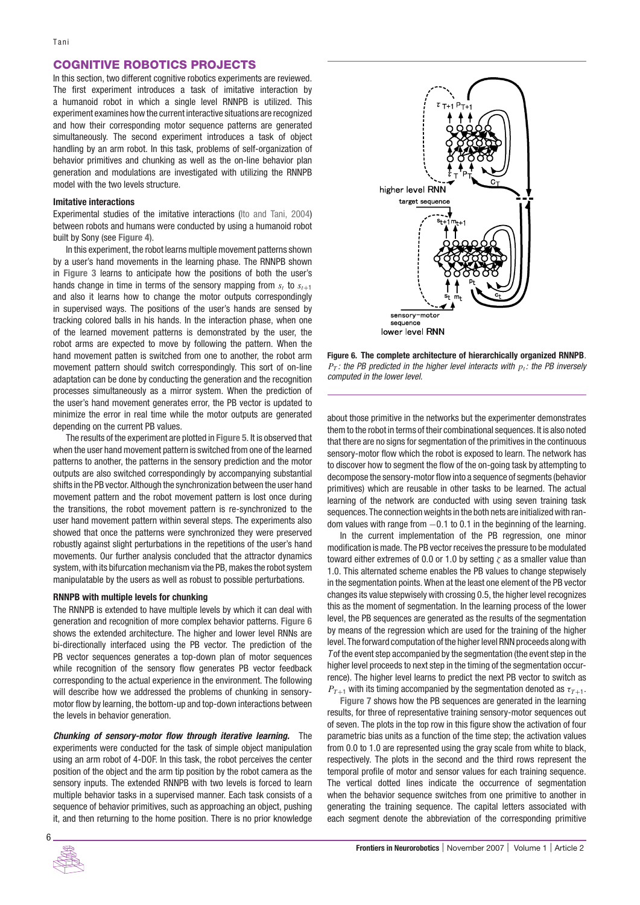# **COGNITIVE ROBOTICS PROJECTS**

In this section, two different cognitive robotics experiments are reviewed. The first experiment introduces a task of imitative interaction by a humanoid robot in which a single level RNNPB is utilized. This experiment examines how the current interactive situations are recognized and how their corresponding motor sequence patterns are generated simultaneously. The second experiment introduces a task of object handling by an arm robot. In this task, problems of self-organization of behavior primitives and chunking as well as the on-line behavior plan generation and modulations are investigated with utilizing the RNNPB model with the two levels structure.

#### **Imitative interactions**

Experimental studies of the imitative interactions (Ito and Tani, 2004) between robots and humans were conducted by using a humanoid robot built by Sony (see **Figure 4**).

In this experiment, the robot learns multiple movement patterns shown by a user's hand movements in the learning phase. The RNNPB shown in **Figure 3** learns to anticipate how the positions of both the user's hands change in time in terms of the sensory mapping from  $s_t$  to  $s_{t+1}$ and also it learns how to change the motor outputs correspondingly in supervised ways. The positions of the user's hands are sensed by tracking colored balls in his hands. In the interaction phase, when one of the learned movement patterns is demonstrated by the user, the robot arms are expected to move by following the pattern. When the hand movement patten is switched from one to another, the robot arm movement pattern should switch correspondingly. This sort of on-line adaptation can be done by conducting the generation and the recognition processes simultaneously as a mirror system. When the prediction of the user's hand movement generates error, the PB vector is updated to minimize the error in real time while the motor outputs are generated depending on the current PB values.

The results of the experiment are plotted in **Figure 5**. It is observed that when the user hand movement pattern is switched from one of the learned patterns to another, the patterns in the sensory prediction and the motor outputs are also switched correspondingly by accompanying substantial shifts in the PB vector. Although the synchronization between the user hand movement pattern and the robot movement pattern is lost once during the transitions, the robot movement pattern is re-synchronized to the user hand movement pattern within several steps. The experiments also showed that once the patterns were synchronized they were preserved robustly against slight perturbations in the repetitions of the user's hand movements. Our further analysis concluded that the attractor dynamics system, with its bifurcation mechanism via the PB, makes the robot system manipulatable by the users as well as robust to possible perturbations.

#### **RNNPB with multiple levels for chunking**

The RNNPB is extended to have multiple levels by which it can deal with generation and recognition of more complex behavior patterns. **Figure 6** shows the extended architecture. The higher and lower level RNNs are bi-directionally interfaced using the PB vector. The prediction of the PB vector sequences generates a top-down plan of motor sequences while recognition of the sensory flow generates PB vector feedback corresponding to the actual experience in the environment. The following will describe how we addressed the problems of chunking in sensorymotor flow by learning, the bottom-up and top-down interactions between the levels in behavior generation.

*Chunking of sensory-motor flow through iterative learning.* The experiments were conducted for the task of simple object manipulation using an arm robot of 4-DOF. In this task, the robot perceives the center position of the object and the arm tip position by the robot camera as the sensory inputs. The extended RNNPB with two levels is forced to learn multiple behavior tasks in a supervised manner. Each task consists of a sequence of behavior primitives, such as approaching an object, pushing it, and then returning to the home position. There is no prior knowledge



**Figure 6. The complete architecture of hierarchically organized RNNPB**.  $P_T$ : the PB predicted in the higher level interacts with  $p_t$ : the PB inversely computed in the lower level.

about those primitive in the networks but the experimenter demonstrates them to the robot in terms of their combinational sequences. It is also noted that there are no signs for segmentation of the primitives in the continuous sensory-motor flow which the robot is exposed to learn. The network has to discover how to segment the flow of the on-going task by attempting to decompose the sensory-motor flow into a sequence of segments (behavior primitives) which are reusable in other tasks to be learned. The actual learning of the network are conducted with using seven training task sequences. The connection weights in the both nets are initialized withrandom values with range from −0*.*1 to 0.1 in the beginning of the learning.

In the current implementation of the PB regression, one minor modification is made. The PB vector receives the pressure to be modulated toward either extremes of 0.0 or 1.0 by setting *ζ* as a smaller value than 1.0. This alternated scheme enables the PB values to change stepwisely in the segmentation points. When at the least one element of the PB vector changes its value stepwisely with crossing 0.5, the higher level recognizes this as the moment of segmentation. In the learning process of the lower level, the PB sequences are generated as the results of the segmentation by means of the regression which are used for the training of the higher level. The forward computation of the higher level RNN proceeds along with Tof the event step accompanied by the segmentation (the event step in the higher level proceeds to next step in the timing of the segmentation occurrence). The higher level learns to predict the next PB vector to switch as  $P_{T+1}$  with its timing accompanied by the segmentation denoted as  $\tau_{T+1}$ .

**Figure 7** shows how the PB sequences are generated in the learning results, for three of representative training sensory-motor sequences out of seven. The plots in the top row in this figure show the activation of four parametric bias units as a function of the time step; the activation values from 0.0 to 1.0 are represented using the gray scale from white to black, respectively. The plots in the second and the third rows represent the temporal profile of motor and sensor values for each training sequence. The vertical dotted lines indicate the occurrence of segmentation when the behavior sequence switches from one primitive to another in generating the training sequence. The capital letters associated with each segment denote the abbreviation of the corresponding primitive

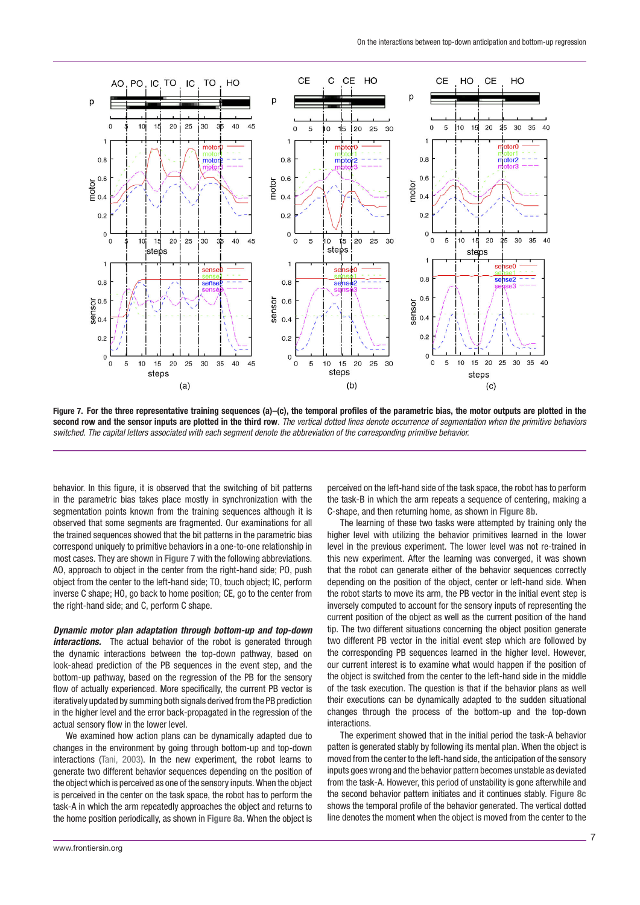

**Figure 7. For the three representative training sequences (a)–(c), the temporal profiles of the parametric bias, the motor outputs are plotted in the second row and the sensor inputs are plotted in the third row**. The vertical dotted lines denote occurrence of segmentation when the primitive behaviors switched. The capital letters associated with each segment denote the abbreviation of the corresponding primitive behavior.

behavior. In this figure, it is observed that the switching of bit patterns in the parametric bias takes place mostly in synchronization with the segmentation points known from the training sequences although it is observed that some segments are fragmented. Our examinations for all the trained sequences showed that the bit patterns in the parametric bias correspond uniquely to primitive behaviors in a one-to-one relationship in most cases. They are shown in **Figure 7** with the following abbreviations. AO, approach to object in the center from the right-hand side; PO, push object from the center to the left-hand side; TO, touch object; IC, perform inverse C shape; HO, go back to home position; CE, go to the center from the right-hand side; and C, perform C shape.

*Dynamic motor plan adaptation through bottom-up and top-down interactions.* The actual behavior of the robot is generated through the dynamic interactions between the top-down pathway, based on look-ahead prediction of the PB sequences in the event step, and the bottom-up pathway, based on the regression of the PB for the sensory flow of actually experienced. More specifically, the current PB vector is iteratively updated by summing both signals derived from the PB prediction in the higher level and the error back-propagated in the regression of the actual sensory flow in the lower level.

We examined how action plans can be dynamically adapted due to changes in the environment by going through bottom-up and top-down interactions (Tani, 2003). In the new experiment, the robot learns to generate two different behavior sequences depending on the position of the object which is perceived as one of the sensory inputs. When the object is perceived in the center on the task space, the robot has to perform the task-A in which the arm repeatedly approaches the object and returns to the home position periodically, as shown in **Figure 8a**. When the object is perceived on the left-hand side of the task space, the robot has to perform the task-B in which the arm repeats a sequence of centering, making a C-shape, and then returning home, as shown in **Figure 8b**.

The learning of these two tasks were attempted by training only the higher level with utilizing the behavior primitives learned in the lower level in the previous experiment. The lower level was not re-trained in this new experiment. After the learning was converged, it was shown that the robot can generate either of the behavior sequences correctly depending on the position of the object, center or left-hand side. When the robot starts to move its arm, the PB vector in the initial event step is inversely computed to account for the sensory inputs of representing the current position of the object as well as the current position of the hand tip. The two different situations concerning the object position generate two different PB vector in the initial event step which are followed by the corresponding PB sequences learned in the higher level. However, our current interest is to examine what would happen if the position of the object is switched from the center to the left-hand side in the middle of the task execution. The question is that if the behavior plans as well their executions can be dynamically adapted to the sudden situational changes through the process of the bottom-up and the top-down interactions.

The experiment showed that in the initial period the task-A behavior patten is generated stably by following its mental plan. When the object is moved from the center to the left-hand side, the anticipation of the sensory inputs goes wrong and the behavior pattern becomes unstable as deviated from the task-A. However, this period of unstability is gone afterwhile and the second behavior pattern initiates and it continues stably. **Figure 8c** shows the temporal profile of the behavior generated. The vertical dotted line denotes the moment when the object is moved from the center to the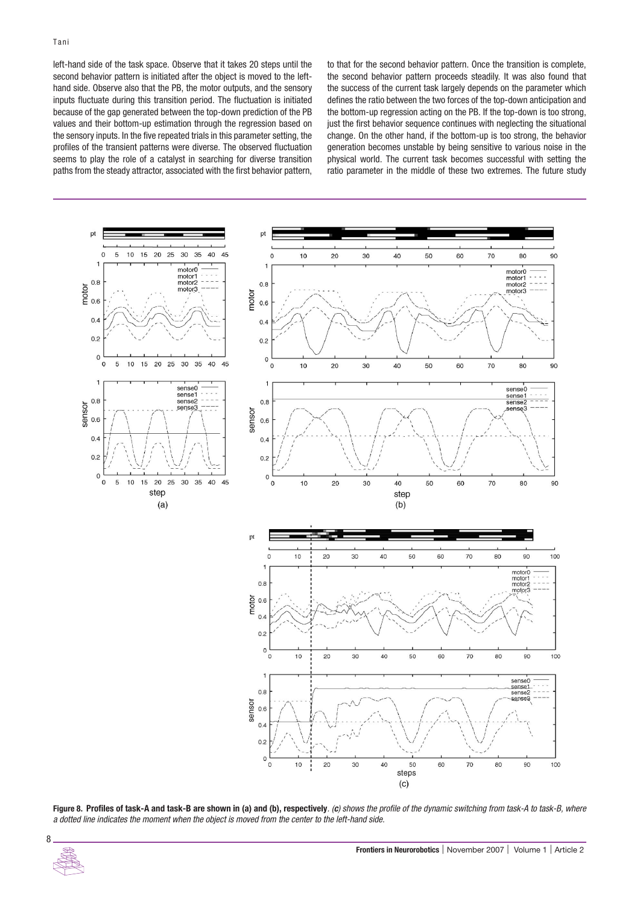left-hand side of the task space. Observe that it takes 20 steps until the second behavior pattern is initiated after the object is moved to the lefthand side. Observe also that the PB, the motor outputs, and the sensory inputs fluctuate during this transition period. The fluctuation is initiated because of the gap generated between the top-down prediction of the PB values and their bottom-up estimation through the regression based on the sensory inputs. In the five repeated trials in this parameter setting, the profiles of the transient patterns were diverse. The observed fluctuation seems to play the role of a catalyst in searching for diverse transition paths from the steady attractor, associated with the first behavior pattern, to that for the second behavior pattern. Once the transition is complete, the second behavior pattern proceeds steadily. It was also found that the success of the current task largely depends on the parameter which defines the ratio between the two forces of the top-down anticipation and the bottom-up regression acting on the PB. If the top-down is too strong, just the first behavior sequence continues with neglecting the situational change. On the other hand, if the bottom-up is too strong, the behavior generation becomes unstable by being sensitive to various noise in the physical world. The current task becomes successful with setting the ratio parameter in the middle of these two extremes. The future study



**Figure 8. Profiles of task-A and task-B are shown in (a) and (b), respectively**. (*c*) shows the profile of the dynamic switching from task-A to task-B, where a dotted line indicates the moment when the object is moved from the center to the left-hand side.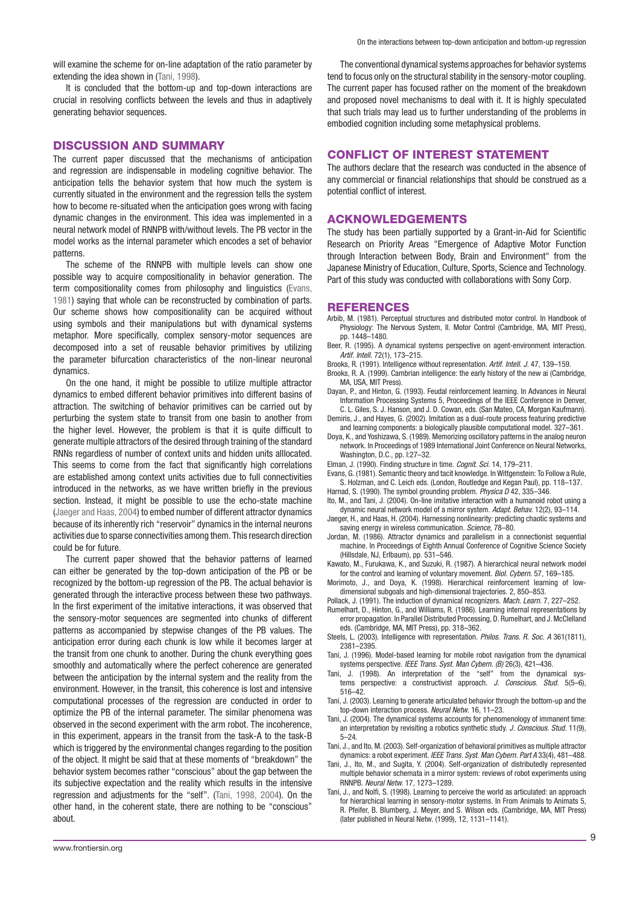will examine the scheme for on-line adaptation of the ratio parameter by extending the idea shown in (Tani, 1998).

It is concluded that the bottom-up and top-down interactions are crucial in resolving conflicts between the levels and thus in adaptively generating behavior sequences.

### **DISCUSSION AND SUMMARY**

The current paper discussed that the mechanisms of anticipation and regression are indispensable in modeling cognitive behavior. The anticipation tells the behavior system that how much the system is currently situated in the environment and the regression tells the system how to become re-situated when the anticipation goes wrong with facing dynamic changes in the environment. This idea was implemented in a neural network model of RNNPB with/without levels. The PB vector in the model works as the internal parameter which encodes a set of behavior patterns.

The scheme of the RNNPB with multiple levels can show one possible way to acquire compositionality in behavior generation. The term compositionality comes from philosophy and linguistics (Evans, 1981) saying that whole can be reconstructed by combination of parts. Our scheme shows how compositionality can be acquired without using symbols and their manipulations but with dynamical systems metaphor. More specifically, complex sensory-motor sequences are decomposed into a set of reusable behavior primitives by utilizing the parameter bifurcation characteristics of the non-linear neuronal dynamics.

On the one hand, it might be possible to utilize multiple attractor dynamics to embed different behavior primitives into different basins of attraction. The switching of behavior primitives can be carried out by perturbing the system state to transit from one basin to another from the higher level. However, the problem is that it is quite difficult to generate multiple attractors of the desired through training of the standard RNNs regardless of number of context units and hidden units alllocated. This seems to come from the fact that significantly high correlations are established among context units activities due to full connectivities introduced in the networks, as we have written briefly in the previous section. Instead, it might be possible to use the echo-state machine (Jaeger and Haas, 2004) to embed number of different attractor dynamics because of its inherently rich "reservoir" dynamics in the internal neurons activities due to sparse connectivities among them. This research direction could be for future.

The current paper showed that the behavior patterns of learned can either be generated by the top-down anticipation of the PB or be recognized by the bottom-up regression of the PB. The actual behavior is generated through the interactive process between these two pathways. In the first experiment of the imitative interactions, it was observed that the sensory-motor sequences are segmented into chunks of different patterns as accompanied by stepwise changes of the PB values. The anticipation error during each chunk is low while it becomes larger at the transit from one chunk to another. During the chunk everything goes smoothly and automatically where the perfect coherence are generated between the anticipation by the internal system and the reality from the environment. However, in the transit, this coherence is lost and intensive computational processes of the regression are conducted in order to optimize the PB of the internal parameter. The similar phenomena was observed in the second experiment with the arm robot. The incoherence, in this experiment, appears in the transit from the task-A to the task-B which is triggered by the environmental changes regarding to the position of the object. It might be said that at these moments of "breakdown" the behavior system becomes rather "conscious" about the gap between the its subjective expectation and the reality which results in the intensive regression and adjustments for the "self". (Tani, 1998, 2004). On the other hand, in the coherent state, there are nothing to be "conscious" about.

The conventional dynamical systems approaches for behavior systems tend to focus only on the structural stability in the sensory-motor coupling. The current paper has focused rather on the moment of the breakdown and proposed novel mechanisms to deal with it. It is highly speculated that such trials may lead us to further understanding of the problems in embodied cognition including some metaphysical problems.

## **CONFLICT OF INTEREST STATEMENT**

The authors declare that the research was conducted in the absence of any commercial or financial relationships that should be construed as a potential conflict of interest.

### **ACKNOWLEDGEMENTS**

The study has been partially supported by a Grant-in-Aid for Scientific Research on Priority Areas "Emergence of Adaptive Motor Function through Interaction between Body, Brain and Environment" from the Japanese Ministry of Education, Culture, Sports, Science and Technology. Part of this study was conducted with collaborations with Sony Corp.

#### **REFERENCES**

- Arbib, M. (1981). Perceptual structures and distributed motor control. In Handbook of Physiology: The Nervous System, II. Motor Control (Cambridge, MA, MIT Press), pp. 1448–1480.
- Beer, R. (1995). A dynamical systems perspective on agent-environment interaction. Artif. Intell. 72(1), 173–215.
- Brooks, R. (1991). Intelligence without representation. Artif. Intell. J. 47, 139–159.
- Brooks, R. A. (1999). Cambrian intelligence: the early history of the new ai (Cambridge, MA, USA, MIT Press).
- Dayan, P., and Hinton, G. (1993). Feudal reinforcement learning. In Advances in Neural Information Processing Systems 5, Proceedings of the IEEE Conference in Denver, C. L. Giles, S. J. Hanson, and J. D. Cowan, eds. (San Mateo, CA, Morgan Kaufmann).
- Demiris, J., and Hayes, G. (2002). Imitation as a dual-route process featuring predictive and learning components: a biologically plausible computational model. 327–361.
- Doya, K., and Yoshizawa, S. (1989). Memorizing oscillatory patterns in the analog neuron network. In Proceedings of 1989 International Joint Conference on Neural Networks, Washington, D.C., pp. I:27–32.
- Elman, J. (1990). Finding structure in time. Cognit. Sci. 14, 179–211.
- Evans, G. (1981). Semantic theory and tacit knowledge. In Wittgenstein: To Follow a Rule, S. Holzman, and C. Leich eds. (London, Routledge and Kegan Paul), pp. 118–137.
- Harnad, S. (1990). The symbol grounding problem. Physica D 42, 335-346.
- Ito, M., and Tani, J. (2004). On-line imitative interaction with a humanoid robot using a dynamic neural network model of a mirror system. Adapt. Behav. 12(2), 93–114.
- Jaeger, H., and Haas, H. (2004). Harnessing nonlinearity: predicting chaotic systems and saving energy in wireless communication. Science, 78-80.
- Jordan, M. (1986). Attractor dynamics and parallelism in a connectionist sequential machine. In Proceedings of Eighth Annual Conference of Cognitive Science Society (Hillsdale, NJ, Erlbaum), pp. 531–546.
- Kawato, M., Furukawa, K., and Suzuki, R. (1987). A hierarchical neural network model for the control and learning of voluntary movement. Biol. Cybern. 57, 169–185.
- Morimoto, J., and Doya, K. (1998). Hierarchical reinforcement learning of lowdimensional subgoals and high-dimensional trajectories. 2, 850–853.
- Pollack, J. (1991). The induction of dynamical recognizers. Mach. Learn. 7, 227–252. Rumelhart, D., Hinton, G., and Williams, R. (1986). Learning internal representations by
- error propagation. In Parallel Distributed Processing, D. Rumelhart, and J. McClelland eds. (Cambridge, MA, MIT Press), pp. 318–362.
- Steels, L. (2003). Intelligence with representation. Philos. Trans. R. Soc. A 361(1811), 2381–2395.
- Tani, J. (1996). Model-based learning for mobile robot navigation from the dynamical systems perspective. IEEE Trans. Syst. Man Cybern. (B) 26(3), 421-436.
- Tani, J. (1998). An interpretation of the "self" from the dynamical systems perspective: a constructivist approach. J. Conscious. Stud. 5(5–6), 516–42.
- Tani, J. (2003). Learning to generate articulated behavior through the bottom-up and the top-down interaction process. Neural Netw. 16, 11–23.
- Tani, J. (2004). The dynamical systems accounts for phenomenology of immanent time: an interpretation by revisiting a robotics synthetic study. J. Conscious. Stud. 11(9), 5–24.
- Tani, J., and Ito, M. (2003). Self-organization of behavioral primitives as multiple attractor dynamics: a robot experiment. IEEE Trans. Syst. Man Cybern. Part A 33(4), 481–488.
- Tani, J., Ito, M., and Sugita, Y. (2004). Self-organization of distributedly represented multiple behavior schemata in a mirror system: reviews of robot experiments using RNNPB. Neural Netw. 17, 1273–1289.
- Tani, J., and Nolfi, S. (1998). Learning to perceive the world as articulated: an approach for hierarchical learning in sensory-motor systems. In From Animals to Animats 5, R. Pfeifer, B. Blumberg, J. Meyer, and S. Wilson eds. (Cambridge, MA, MIT Press) (later published in Neural Netw. (1999), 12, 1131–1141).